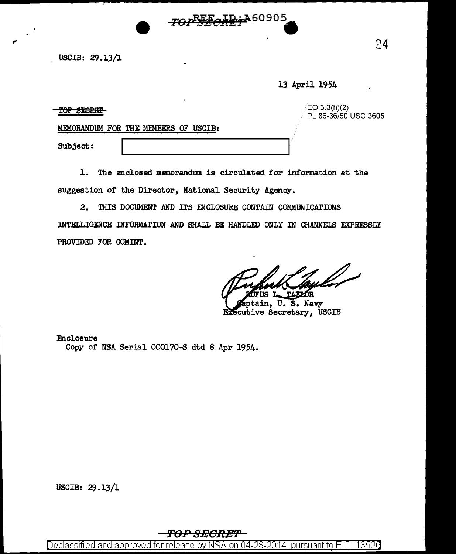$\frac{24}{ }$  uscib: 29.13/1

13 April 1954

 $\begin{array}{c|c|c|c|c} \textbf{TOP} & \textbf{3.3(h)}(2) \end{array} \hspace{2cm} \begin{array}{c|c|c} \textbf{EO 3.3(h)}(2) \end{array} \hspace{2cm} \begin{array}{c|c|c|c} \textbf{EO 3.3(h)}(2) \end{array} \hspace{2cm} \begin{array}{c|c|c|c} \textbf{EO 3605} \end{array} \end{array}$ 

MEMORANDUM FOR THE MEMBERS OF USCIB:

Subject:

1. The enclosed memorandum is circulated for information at the suggestion of the Director, National Security Agency.

TOPEECRETA60905

2. THIS DOCUMENT AND ITS ENCLOSURE CONTAIN COMMUNICATIONS

INTELLIGENCE INFORMATION AND SHALL BE HANDLED ONLY IN CHANNELS EXPRESSLY PROVIDED FOR COMINT.

**TAXZOR** K

ptain, U. s. Navy Executive Secretary, USCIB

Enclosure Copy of NSA Serial 000170-S dtd 8 Apr 1954.

USCIB: 29.13/1

## **TO.P S-ECREf'**

Declassified and approved for release by NSA on 04-28-2014 pursuant to E.O. 1352 $\beta$ '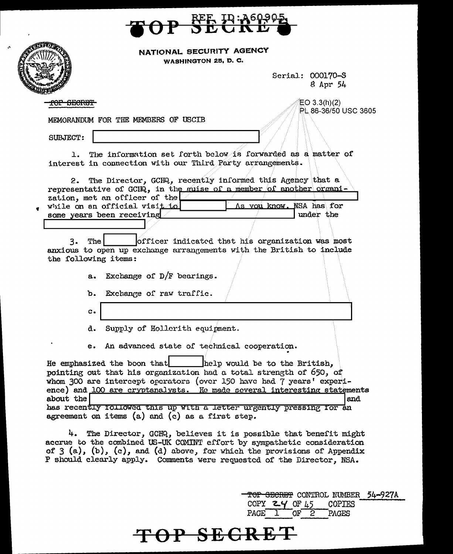

| NATIONAL SECURITY AGENCY |  |
|--------------------------|--|
|                          |  |

WASHINGTON 25, D. C.

Serial: 000170-S 8 Apr 54

<del>OP SECRET</del>

 $EO 3.3(h)(2)$ PL 86-36/50 USC 3605

MEMORANDUM FOR THE MEMBERS OF USCIB

SUBJECT:

The information set forth below is forwarded as a matter of  $1.1$ interest in connection with our Third Party arrangements.

The Director, GCIA, recently informed this Agency that a  $2.$ representative of GCIQ, in the muise of a member of another organization, met an officer of the while on an official visit to As vou know. NSA has for under the some years been receiving

officer indicated that his organization was most The 3. anxious to open up exchange arrangements with the British to include the following items:

- Exchange of  $D/F$  bearings.  $a$ .
- Exchange of raw traffic. ъ.
- $\mathbf{c}$ .
- Supply of Hollerith equipment. d.

An advanced state of technical cooperation.  $e_{\star}$ 

He emphasized the boon that help would be to the British, pointing out that his organization had a total strength of 650, of whom 300 are intercept operators (over 150 have had 7 years' experience) and 100 are cryptanalysts. He made several interesting statements about the and has recently rollowed this up with a letter urgently pressing for an agreement on items (a) and (c) as a first step.

4. The Director, GCHQ, believes it is possible that benefit might accrue to the combined US-UK COMINT effort by sympathetic consideration of  $3(a)$ ,  $(b)$ ,  $(c)$ , and  $(d)$  above, for which the provisions of Appendix P should clearly apply. Comments were requested of the Director, NSA.

<del>OP SECRET</del>

<del>TOP SECRET</del> CONTROL NUMBER 54-927A COPY  $24$  OF 45 **COPIES**  $OF<sup>2</sup>$ PAGE PAGES